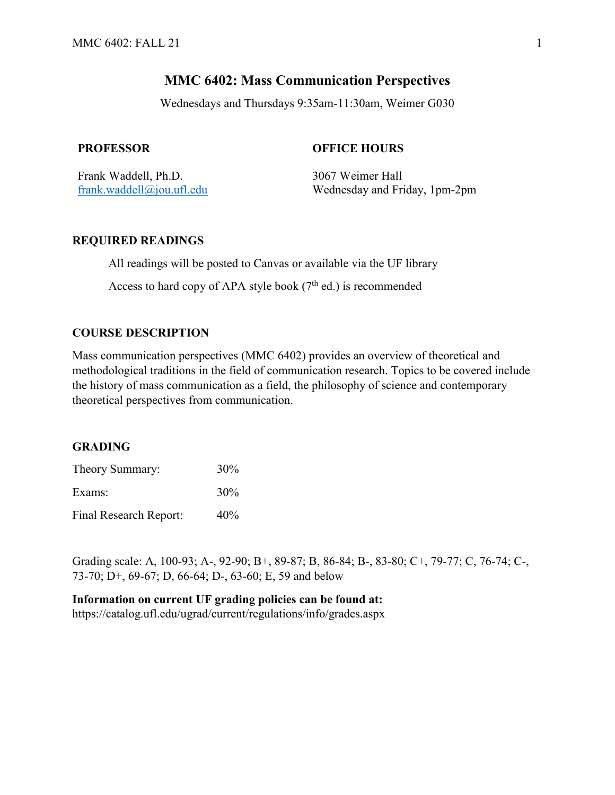# **MMC 6402: Mass Communication Perspectives**

Wednesdays and Thursdays 9:35am-11:30am, Weimer G030

## **PROFESSOR OFFICE HOURS**

Frank Waddell, Ph.D. 3067 Weimer Hall

[frank.waddell@jou.ufl.edu](mailto:frank.waddell@jou.ufl.edu) Wednesday and Friday, 1pm-2pm

## **REQUIRED READINGS**

All readings will be posted to Canvas or available via the UF library

Access to hard copy of APA style book  $(7<sup>th</sup>$  ed.) is recommended

## **COURSE DESCRIPTION**

Mass communication perspectives (MMC 6402) provides an overview of theoretical and methodological traditions in the field of communication research. Topics to be covered include the history of mass communication as a field, the philosophy of science and contemporary theoretical perspectives from communication.

## **GRADING**

| Theory Summary:        | 30% |
|------------------------|-----|
| Exams:                 | 30% |
| Final Research Report: | 40% |

Grading scale: A, 100-93; A-, 92-90; B+, 89-87; B, 86-84; B-, 83-80; C+, 79-77; C, 76-74; C-, 73-70; D+, 69-67; D, 66-64; D-, 63-60; E, 59 and below

## **Information on current UF grading policies can be found at:**

https://catalog.ufl.edu/ugrad/current/regulations/info/grades.aspx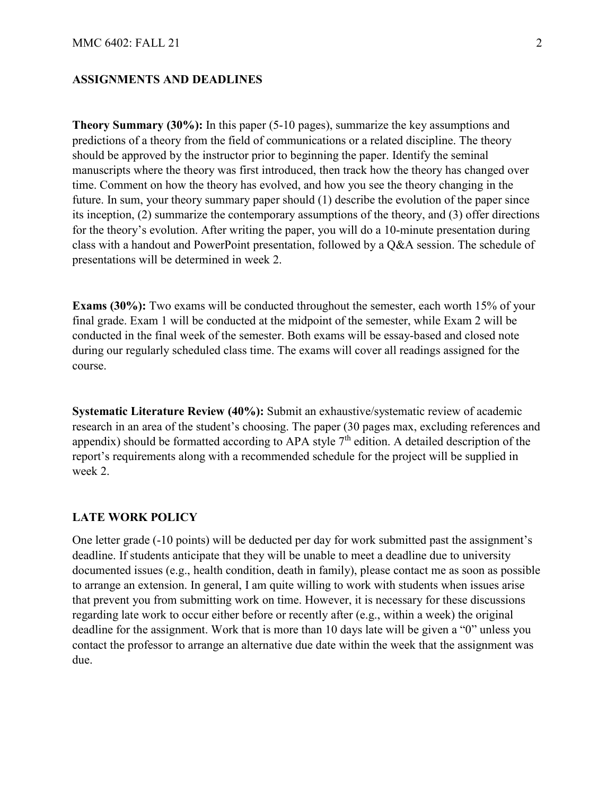## **ASSIGNMENTS AND DEADLINES**

**Theory Summary (30%):** In this paper (5-10 pages), summarize the key assumptions and predictions of a theory from the field of communications or a related discipline. The theory should be approved by the instructor prior to beginning the paper. Identify the seminal manuscripts where the theory was first introduced, then track how the theory has changed over time. Comment on how the theory has evolved, and how you see the theory changing in the future. In sum, your theory summary paper should (1) describe the evolution of the paper since its inception, (2) summarize the contemporary assumptions of the theory, and (3) offer directions for the theory's evolution. After writing the paper, you will do a 10-minute presentation during class with a handout and PowerPoint presentation, followed by a Q&A session. The schedule of presentations will be determined in week 2.

**Exams (30%):** Two exams will be conducted throughout the semester, each worth 15% of your final grade. Exam 1 will be conducted at the midpoint of the semester, while Exam 2 will be conducted in the final week of the semester. Both exams will be essay-based and closed note during our regularly scheduled class time. The exams will cover all readings assigned for the course.

**Systematic Literature Review (40%):** Submit an exhaustive/systematic review of academic research in an area of the student's choosing. The paper (30 pages max, excluding references and appendix) should be formatted according to APA style  $7<sup>th</sup>$  edition. A detailed description of the report's requirements along with a recommended schedule for the project will be supplied in week 2.

#### **LATE WORK POLICY**

One letter grade (-10 points) will be deducted per day for work submitted past the assignment's deadline. If students anticipate that they will be unable to meet a deadline due to university documented issues (e.g., health condition, death in family), please contact me as soon as possible to arrange an extension. In general, I am quite willing to work with students when issues arise that prevent you from submitting work on time. However, it is necessary for these discussions regarding late work to occur either before or recently after (e.g., within a week) the original deadline for the assignment. Work that is more than 10 days late will be given a "0" unless you contact the professor to arrange an alternative due date within the week that the assignment was due.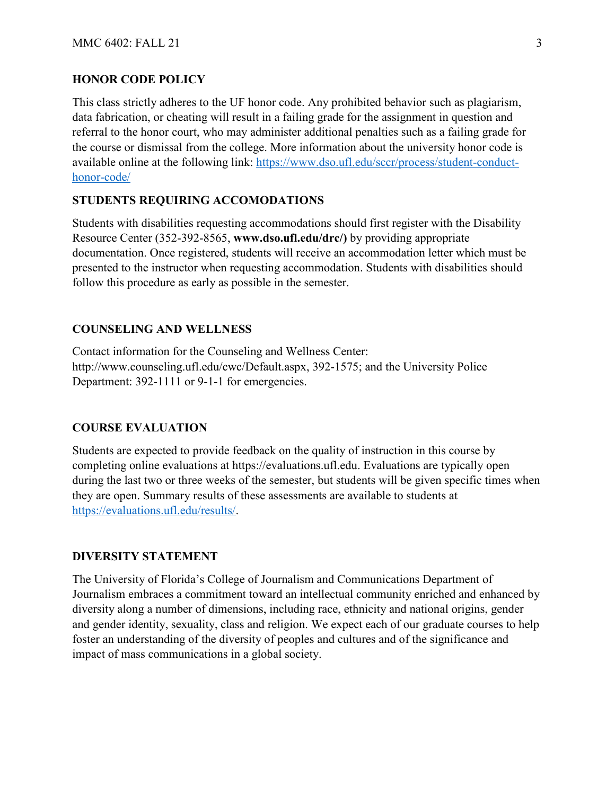#### **HONOR CODE POLICY**

This class strictly adheres to the UF honor code. Any prohibited behavior such as plagiarism, data fabrication, or cheating will result in a failing grade for the assignment in question and referral to the honor court, who may administer additional penalties such as a failing grade for the course or dismissal from the college. More information about the university honor code is available online at the following link: [https://www.dso.ufl.edu/sccr/process/student-conduct](https://www.dso.ufl.edu/sccr/process/student-conduct-honor-code/)[honor-code/](https://www.dso.ufl.edu/sccr/process/student-conduct-honor-code/)

## **STUDENTS REQUIRING ACCOMODATIONS**

Students with disabilities requesting accommodations should first register with the Disability Resource Center (352-392-8565, **www.dso.ufl.edu/drc/)** by providing appropriate documentation. Once registered, students will receive an accommodation letter which must be presented to the instructor when requesting accommodation. Students with disabilities should follow this procedure as early as possible in the semester.

### **COUNSELING AND WELLNESS**

Contact information for the Counseling and Wellness Center: http://www.counseling.ufl.edu/cwc/Default.aspx, 392-1575; and the University Police Department: 392-1111 or 9-1-1 for emergencies.

### **COURSE EVALUATION**

Students are expected to provide feedback on the quality of instruction in this course by completing online evaluations at https://evaluations.ufl.edu. Evaluations are typically open during the last two or three weeks of the semester, but students will be given specific times when they are open. Summary results of these assessments are available to students at [https://evaluations.ufl.edu/results/.](https://evaluations.ufl.edu/results/)

#### **DIVERSITY STATEMENT**

The University of Florida's College of Journalism and Communications Department of Journalism embraces a commitment toward an intellectual community enriched and enhanced by diversity along a number of dimensions, including race, ethnicity and national origins, gender and gender identity, sexuality, class and religion. We expect each of our graduate courses to help foster an understanding of the diversity of peoples and cultures and of the significance and impact of mass communications in a global society.